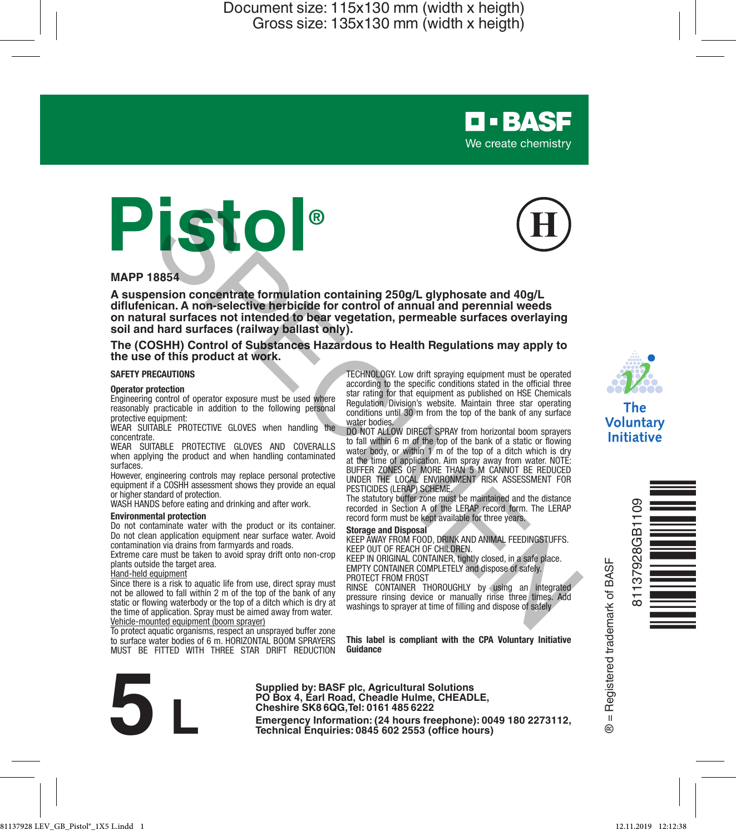



**D-BASF** We create chemistry

#### **MAPP 18854**

**A suspension concentrate formulation containing 250g/L glyphosate and 40g/L diflufenican. A non-selective herbicide for control of annual and perennial weeds on natural surfaces not intended to bear vegetation, permeable surfaces overlaying soil and hard surfaces (railway ballast only).** Sensitive memberial formulation containing 250g/L glyphosate and 40g/L<br>
ician. A non-selective herbicide for control of annual and perennial weeds<br>
ician. A non-selective herbicide for control of annual and perennial weeds

**The (COSHH) Control of Substances Hazardous to Health Regulations may apply to the use of this product at work.**

#### **SAFETY PRECAUTIONS**

#### **Operator protection**

Engineering control of operator exposure must be used where reasonably practicable in addition to the following personal protective equipment:

WEAR SUITABLE PROTECTIVE GLOVES when handling the concentrate.

WEAR SUITABLE PROTECTIVE GLOVES AND COVERALLS when applying the product and when handling contaminated surfaces.

However, engineering controls may replace personal protective equipment if a COSHH assessment shows they provide an equal or higher standard of protection.

WASH HANDS before eating and drinking and after work.

#### **Environmental protection**

Do not contaminate water with the product or its container. Do not clean application equipment near surface water. Avoid contamination via drains from farmyards and roads.

Extreme care must be taken to avoid spray drift onto non-crop plants outside the target area.

#### Hand-held equipment

Since there is a risk to aquatic life from use, direct spray must not be allowed to fall within 2 m of the top of the bank of any static or flowing waterbody or the top of a ditch which is dry at the time of application. Spray must be aimed away from water. Vehicle-mounted equipment (boom sprayer)

To protect aquatic organisms, respect an unsprayed buffer zone

to surface water bodies of 6 m. HORIZONTAL BOOM SPRAYERS MUST BE FITTED WITH THREE STAR DRIFT REDUCTION

TECHNOLOGY. Low drift spraying equipment must be operated according to the specific conditions stated in the official three star rating for that equipment as published on HSE Chemicals Regulation Division's website. Maintain three star operating conditions until 30 m from the top of the bank of any surface water bodies.

DO NOT ALLOW DIRECT SPRAY from horizontal boom sprayers to fall within 6 m of the top of the bank of a static or flowing water body, or within 1 m of the top of a ditch which is dry at the time of application. Aim spray away from water. NOTE: BUFFER ZONES OF MORE THAN 5 M CANNOT BE REDUCED UNDER THE LOCAL ENVIRONMENT RISK ASSESSMENT FOR PESTICIDES (LERAP) SCHEME.

The statutory buffer zone must be maintained and the distance recorded in Section A of the LERAP record form. The LERAP record form must be kept available for three years.

#### **Storage and Disposal**

KEEP AWAY FROM FOOD, DRINK AND ANIMAL FEEDINGSTUFFS. KEEP OUT OF REACH OF CHILDREN.

KEEP IN ORIGINAL CONTAINER, tightly closed, in a safe place. EMPTY CONTAINER COMPLETELY and dispose of safely. PROTECT FROM FROST

RINSE CONTAINER THOROUGHLY by using an integrated pressure rinsing device or manually rinse three times. Add washings to sprayer at time of filling and dispose of safely

**This label is compliant with the CPA Voluntary Initiative Guidance**



**Supplied by: BASF plc, Agricultural Solutions PO Box 4, Earl Road, Cheadle Hulme, CHEADLE, Cheshire SK8 6QG,Tel: 0161 485 6222**

**Emergency Information: (24 hours freephone): 0049 180 2273112, Technical Enquiries: 0845 602 2553 (office hours)**



Voluntary **Initiative** 



Registered trademark of BASF ® = Registered trademark of BASF  $\overline{\mathbf{u}}$  $\circledR$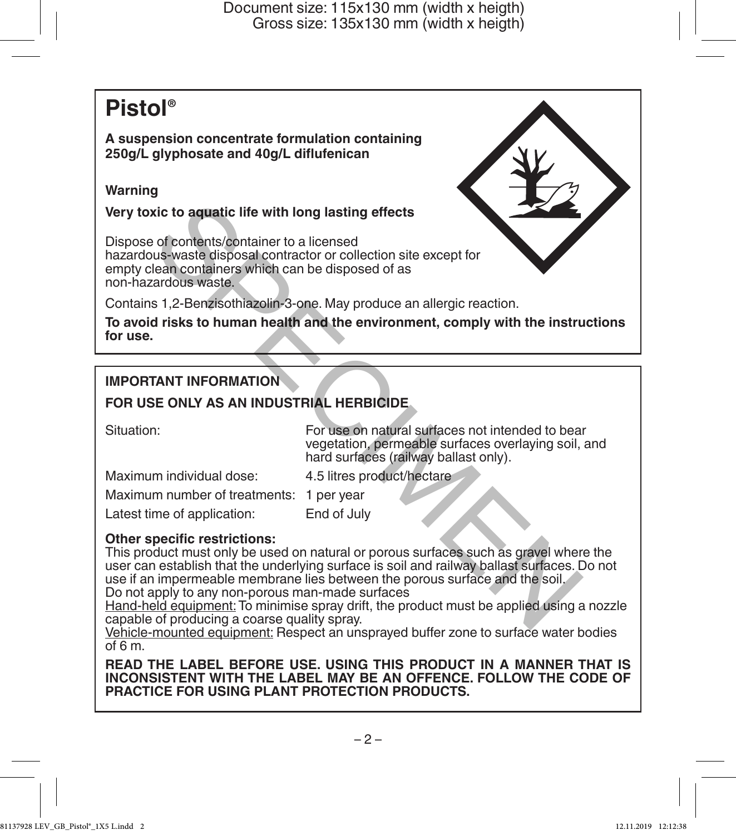# **Pistol®**

**A suspension concentrate formulation containing 250g/L glyphosate and 40g/L diflufenican**

# **Warning**

**Very toxic to aquatic life with long lasting effects**

Dispose of contents/container to a licensed hazardous-waste disposal contractor or collection site except for empty clean containers which can be disposed of as non-hazardous waste.

Contains 1,2-Benzisothiazolin-3-one. May produce an allergic reaction.

**To avoid risks to human health and the environment, comply with the instructions for use.**

# **IMPORTANT INFORMATION**

# **FOR USE ONLY AS AN INDUSTRIAL HERBICIDE**

Situation: For use on natural surfaces not intended to bear vegetation, permeable surfaces overlaying soil, and hard surfaces (railway ballast only).

Maximum individual dose: 4.5 litres product/hectare

Maximum number of treatments: 1 per year

Latest time of application: End of July

# **Other specific restrictions:**

This product must only be used on natural or porous surfaces such as gravel where the user can establish that the underlying surface is soil and railway ballast surfaces. Do not use if an impermeable membrane lies between the porous surface and the soil. Do not apply to any non-porous man-made surfaces Notice to a contents/container to a licensed<br>of contents/container to a licensed<br>us-waste disposal contractor or collection site except for<br>transformances which can be disposed of as<br>acadious waste.<br>s 1,2-Benzisothiazolin-

Hand-held equipment: To minimise spray drift, the product must be applied using a nozzle capable of producing a coarse quality spray.

Vehicle-mounted equipment: Respect an unsprayed buffer zone to surface water bodies  $of 6 m$ 

**READ THE LABEL BEFORE USE. USING THIS PRODUCT IN A MANNER THAT IS INCONSISTENT WITH THE LABEL MAY BE AN OFFENCE. FOLLOW THE CODE OF PRACTICE FOR USING PLANT PROTECTION PRODUCTS.**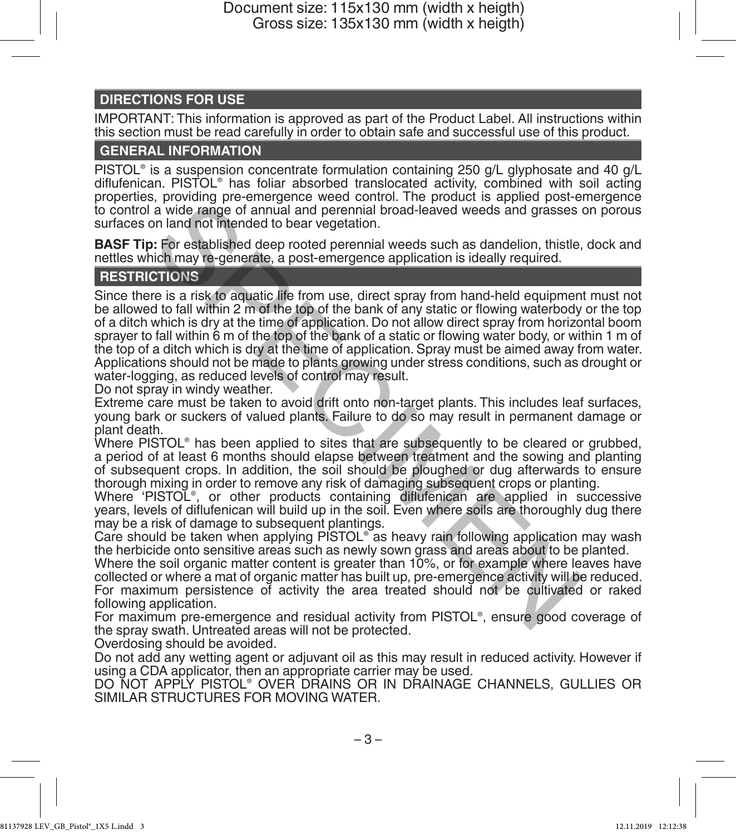# **DIRECTIONS FOR USE**

IMPORTANT: This information is approved as part of the Product Label. All instructions within this section must be read carefully in order to obtain safe and successful use of this product.

### **GENERAL INFORMATION**

PISTOL® is a suspension concentrate formulation containing 250 g/L glyphosate and 40 g/L diflufenican. PISTOL® has foliar absorbed translocated activity, combined with soil acting properties, providing pre-emergence weed control. The product is applied post-emergence to control a wide range of annual and perennial broad-leaved weeds and grasses on porous surfaces on land not intended to bear vegetation.

**BASF Tip:** For established deep rooted perennial weeds such as dandelion, thistle, dock and nettles which may re-generate, a post-emergence application is ideally required.

# **RESTRICTIONS**

Since there is a risk to aquatic life from use, direct spray from hand-held equipment must not be allowed to fall within 2 m of the top of the bank of any static or flowing waterbody or the top of a ditch which is dry at the time of application. Do not allow direct spray from horizontal boom sprayer to fall within 6 m of the top of the bank of a static or flowing water body, or within 1 m of the top of a ditch which is dry at the time of application. Spray must be aimed away from water. Applications should not be made to plants growing under stress conditions, such as drought or water-logging, as reduced levels of control may result. is, proving the uniteral back and perennial broad-leaved weeds and grasses and a wide range of annual and perennial broad-leaved weeds and grasses on land not membed to bear vegetation.<br>
I: For established deep rooted pere

Do not spray in windy weather.

Extreme care must be taken to avoid drift onto non-target plants. This includes leaf surfaces, young bark or suckers of valued plants. Failure to do so may result in permanent damage or plant death.

Where PISTOL® has been applied to sites that are subsequently to be cleared or grubbed, a period of at least 6 months should elapse between treatment and the sowing and planting of subsequent crops. In addition, the soil should be ploughed or dug afterwards to ensure thorough mixing in order to remove any risk of damaging subsequent crops or planting.

Where 'PISTOL®, or other products containing diflufenican are applied in successive years, levels of diflufenican will build up in the soil. Even where soils are thoroughly dug there may be a risk of damage to subsequent plantings.

Care should be taken when applying PISTOL® as heavy rain following application may wash the herbicide onto sensitive areas such as newly sown grass and areas about to be planted.

Where the soil organic matter content is greater than 10%, or for example where leaves have collected or where a mat of organic matter has built up, pre-emergence activity will be reduced. For maximum persistence of activity the area treated should not be cultivated or raked following application.

For maximum pre-emergence and residual activity from PISTOL® , ensure good coverage of the spray swath. Untreated areas will not be protected.

Overdosing should be avoided.

Do not add any wetting agent or adjuvant oil as this may result in reduced activity. However if using a CDA applicator, then an appropriate carrier may be used.

DO NOT APPLY PISTOL® OVER DRAINS OR IN DRAINAGE CHANNELS, GULLIES OR SIMILAR STRUCTURES FOR MOVING WATER.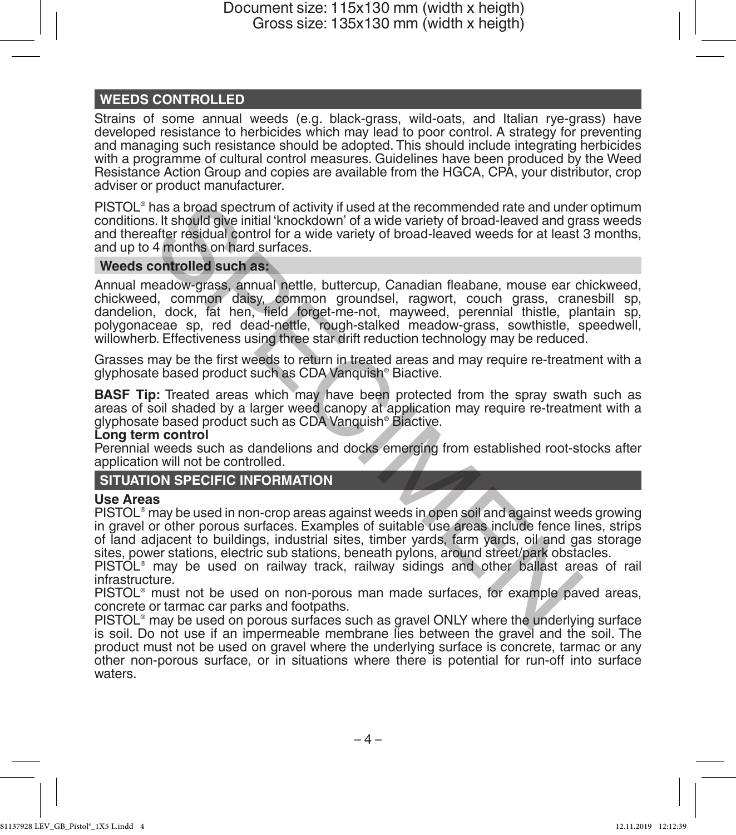# **WEEDS CONTROLLED**

Strains of some annual weeds (e.g. black-grass, wild-oats, and Italian rye-grass) have developed resistance to herbicides which may lead to poor control. A strategy for preventing and managing such resistance should be adopted. This should include integrating herbicides with a programme of cultural control measures. Guidelines have been produced by the Weed Resistance Action Group and copies are available from the HGCA, CPA, your distributor, crop adviser or product manufacturer.

PISTOL® has a broad spectrum of activity if used at the recommended rate and under optimum conditions. It should give initial 'knockdown' of a wide variety of broad-leaved and grass weeds and thereafter residual control for a wide variety of broad-leaved weeds for at least 3 months, and up to 4 months on hard surfaces.

### **Weeds controlled such as:**

Annual meadow-grass, annual nettle, buttercup, Canadian fleabane, mouse ear chickweed, chickweed, common daisy, common groundsel, ragwort, couch grass, cranesbill sp, dandelion, dock, fat hen, field forget-me-not, mayweed, perennial thistle, plantain sp, polygonaceae sp, red dead-nettle, rough-stalked meadow-grass, sowthistle, speedwell, willowherb. Effectiveness using three star drift reduction technology may be reduced. has a broad spectrum of activity if used at the recommended rate and under<br>the sit tshould give initial 'knockdown' of a wide variety of broad-leaved and grafter residual control for a wide variety of broad-leaved weeds fo

Grasses may be the first weeds to return in treated areas and may require re-treatment with a glyphosate based product such as CDA Vanquish® Biactive.

**BASF Tip:** Treated areas which may have been protected from the spray swath such as areas of soil shaded by a larger weed canopy at application may require re-treatment with a glyphosate based product such as CDA Vanquish® Biactive.

#### **Long term control**

Perennial weeds such as dandelions and docks emerging from established root-stocks after application will not be controlled.

### **SITUATION SPECIFIC INFORMATION**

### **Use Areas**

PISTOL® may be used in non-crop areas against weeds in open soil and against weeds growing in gravel or other porous surfaces. Examples of suitable use areas include fence lines, strips of land adjacent to buildings, industrial sites, timber yards, farm yards, oil and gas storage sites, power stations, electric sub stations, beneath pylons, around street/park obstacles.

PISTOL® may be used on railway track, railway sidings and other ballast areas of rail infrastructure.

PISTOL® must not be used on non-porous man made surfaces, for example paved areas, concrete or tarmac car parks and footpaths.

PISTOL® may be used on porous surfaces such as gravel ONLY where the underlying surface is soil. Do not use if an impermeable membrane lies between the gravel and the soil. The product must not be used on gravel where the underlying surface is concrete, tarmac or any other non-porous surface, or in situations where there is potential for run-off into surface waters.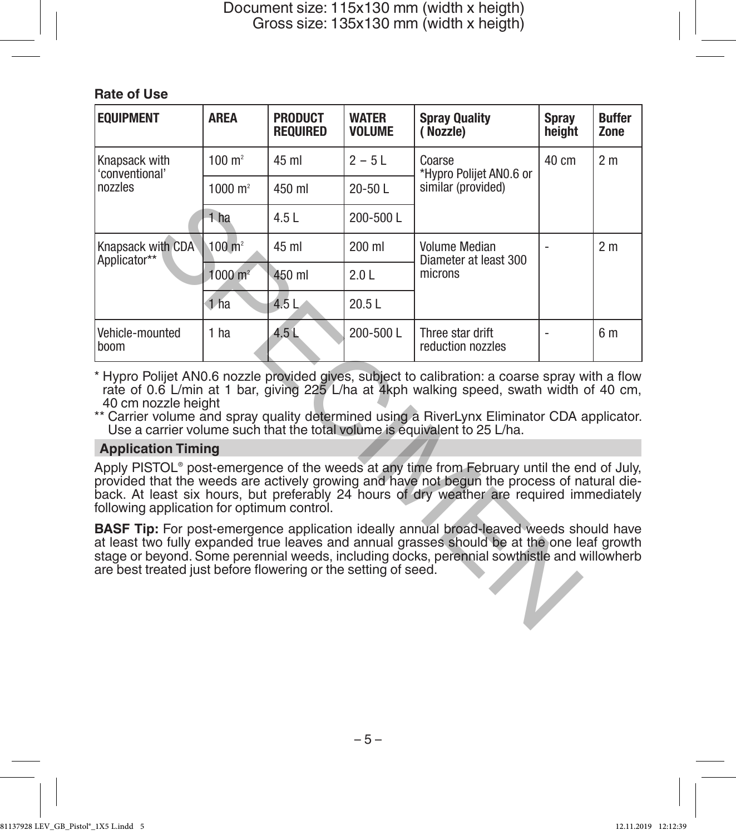# **Rate of Use**

| <b>EQUIPMENT</b>                                                                                                                                                                                                                                                                                                                                                                               | <b>AREA</b>        | <b>PRODUCT</b><br><b>REQUIRED</b> | <b>WATER</b><br><b>VOLUME</b> | <b>Spray Quality</b><br>(Nozzle)                         | Spray<br>height | <b>Buffer</b><br>Zone |
|------------------------------------------------------------------------------------------------------------------------------------------------------------------------------------------------------------------------------------------------------------------------------------------------------------------------------------------------------------------------------------------------|--------------------|-----------------------------------|-------------------------------|----------------------------------------------------------|-----------------|-----------------------|
| Knapsack with<br>'conventional'<br>nozzles                                                                                                                                                                                                                                                                                                                                                     | $100 \text{ m}^2$  | 45 ml                             | $2 - 5$ L                     | Coarse<br>*Hypro Polijet ANO.6 or<br>similar (provided)  | 40 cm           | 2 <sub>m</sub>        |
|                                                                                                                                                                                                                                                                                                                                                                                                | $1000 \text{ m}^2$ | 450 ml                            | $20-50$ L                     |                                                          |                 |                       |
|                                                                                                                                                                                                                                                                                                                                                                                                | 1 ha               | 4.5L                              | 200-500L                      |                                                          |                 |                       |
| Knapsack with CDA<br>Applicator**                                                                                                                                                                                                                                                                                                                                                              | $100 \text{ m}^2$  | 45 ml                             | 200 ml                        | <b>Volume Median</b><br>Diameter at least 300<br>microns |                 | 2 <sub>m</sub>        |
|                                                                                                                                                                                                                                                                                                                                                                                                | $1000 \text{ m}^2$ | 450 ml                            | 2.0 <sub>l</sub>              |                                                          |                 |                       |
|                                                                                                                                                                                                                                                                                                                                                                                                | 1 <sub>ha</sub>    | 4.5 <sub>1</sub>                  | 20.5L                         |                                                          |                 |                       |
| Vehicle-mounted<br>boom                                                                                                                                                                                                                                                                                                                                                                        | 1 ha               | 4.5L                              | 200-500L                      | Three star drift<br>reduction nozzles                    | ÷               | 6 <sub>m</sub>        |
| * Hypro Polijet AN0.6 nozzle provided gives, subject to calibration: a coarse spray with a flow<br>rate of 0.6 L/min at 1 bar, giving 225 L/ha at 4kph walking speed, swath width of 40 cm,<br>40 cm nozzle height<br>** Carrier volume and spray quality determined using a RiverLynx Eliminator CDA applicator.<br>Use a carrier volume such that the total volume is equivalent to 25 L/ha. |                    |                                   |                               |                                                          |                 |                       |
| <b>Application Timing</b>                                                                                                                                                                                                                                                                                                                                                                      |                    |                                   |                               |                                                          |                 |                       |
| Apply PISTOL® post-emergence of the weeds at any time from February until the end of July,<br>provided that the weeds are actively growing and have not begun the process of natural die-<br>back. At least six hours, but preferably 24 hours of dry weather are required immediately<br>following application for optimum control.                                                           |                    |                                   |                               |                                                          |                 |                       |
| <b>BASF Tip:</b> For post-emergence application ideally annual broad-leaved weeds should have<br>at least two fully expanded true leaves and annual grasses should be at the one leaf growth<br>stage or beyond. Some perennial weeds, including docks, perennial sowthistle and willowherb<br>are best treated just before flowering or the setting of seed.                                  |                    |                                   |                               |                                                          |                 |                       |

# **Application Timing**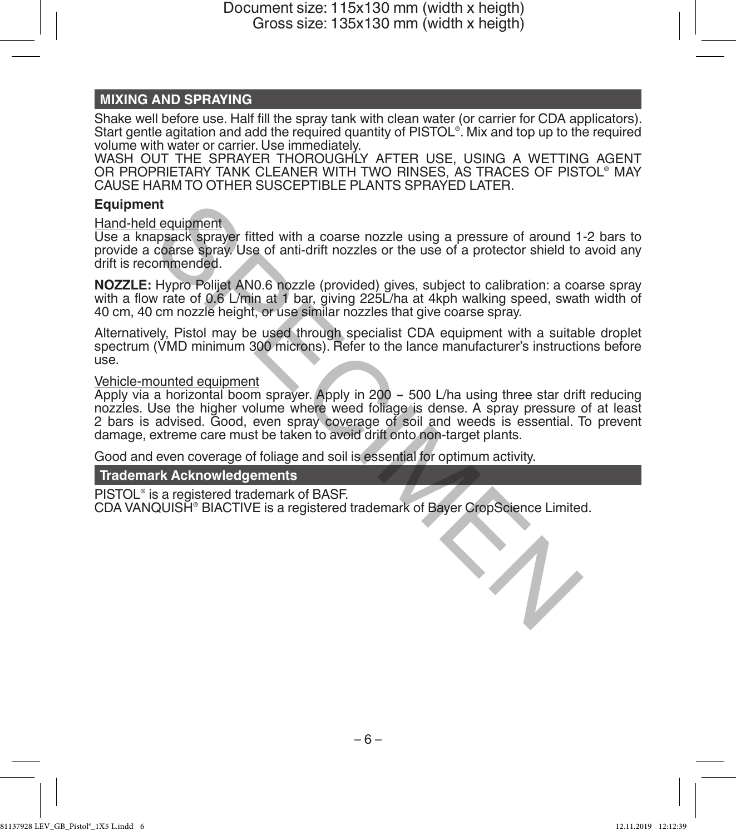# **MIXING AND SPRAYING**

Shake well before use. Half fill the spray tank with clean water (or carrier for CDA applicators). Start gentle agitation and add the required quantity of PISTOL® . Mix and top up to the required volume with water or carrier. Use immediately.

WASH OUT THE SPRAYER THOROUGHLY AFTER USE, USING A WETTING AGENT OR PROPRIETARY TANK CLEANER WITH TWO RINSES, AS TRACES OF PISTOL® MAY CAUSE HARM TO OTHER SUSCEPTIBLE PLANTS SPRAYED LATER.

### **Equipment**

### Hand-held equipment

Use a knapsack sprayer fitted with a coarse nozzle using a pressure of around 1-2 bars to provide a coarse spray. Use of anti-drift nozzles or the use of a protector shield to avoid any drift is recommended.

**NOZZLE:** Hypro Polijet AN0.6 nozzle (provided) gives, subject to calibration: a coarse spray with a flow rate of 0.6 L/min at 1 bar, giving 225L/ha at 4kph walking speed, swath width of 40 cm, 40 cm nozzle height, or use similar nozzles that give coarse spray.

Alternatively, Pistol may be used through specialist CDA equipment with a suitable droplet spectrum (VMD minimum 300 microns). Refer to the lance manufacturer's instructions before<br>use.

### Vehicle-mounted equipment

Apply via a horizontal boom sprayer. Apply in 200 - 500 L/ha using three star drift reducing nozzles. Use the higher volume where weed foliage is dense. A spray pressure of at least 2 bars is advised. Good, even spray coverage of soil and weeds is essential. To prevent damage, extreme care must be taken to avoid drift onto non-target plants. nt<br>
departament departament and coarse nozzle using a pressure of around 1<br>
deparack sprayer fitted with a coarse nozzle using a pressure of around 1<br>
coarse spray. Use of anti-drift nozzles or the use of a protector shiel

Good and even coverage of foliage and soil is essential for optimum activity.

### **Trademark Acknowledgements**

PISTOL® is a registered trademark of BASF.

CDA VANQUISH® BIACTIVE is a registered trademark of Bayer CropScience Limited.

 $-6 -$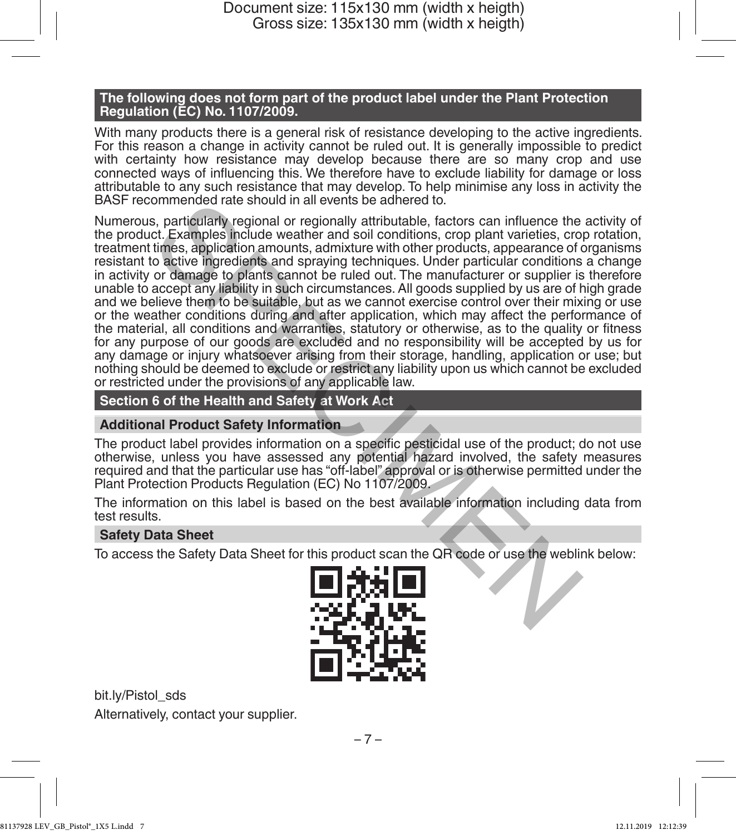### **The following does not form part of the product label under the Plant Protection Regulation (EC) No. 1107/2009.**

With many products there is a general risk of resistance developing to the active ingredients. For this reason a change in activity cannot be ruled out. It is generally impossible to predict with certainty how resistance may develop because there are so many crop and use connected ways of influencing this. We therefore have to exclude liability for damage or loss attributable to any such resistance that may develop. To help minimise any loss in activity the BASF recommended rate should in all events be adhered to.

Numerous, particularly regional or regionally attributable, factors can influence the activity of the product. Examples include weather and soil conditions, crop plant varieties, crop rotation, treatment times, application amounts, admixture with other products, appearance of organisms resistant to active ingredients and spraying techniques. Under particular conditions a change in activity or damage to plants cannot be ruled out. The manufacturer or supplier is therefore unable to accept any liability in such circumstances. All goods supplied by us are of high grade and we believe them to be suitable, but as we cannot exercise control over their mixing or use or the weather conditions during and after application, which may affect the performance of the material, all conditions and warranties, statutory or otherwise, as to the quality or fitness for any purpose of our goods are excluded and no responsibility will be accepted by us for any damage or injury whatsoever arising from their storage, handling, application or use; but nothing should be deemed to exclude or restrict any liability upon us which cannot be excluded or restricted under the provisions of any applicable law. ommended rate should in all events be adnered to.<br>
s, particularly regional or regionally attributable, factors can influence the<br>
tr. Examples incidue weather and soil conditions, crop plant varieties, crop<br>
the stapples

# **Section 6 of the Health and Safety at Work Act**

### **Additional Product Safety Information**

The product label provides information on a specific pesticidal use of the product; do not use otherwise, unless you have assessed any potential hazard involved, the safety measures required and that the particular use has "off-label" approval or is otherwise permitted under the Plant Protection Products Regulation (EC) No 1107/2009.

The information on this label is based on the best available information including data from test results.

### **Safety Data Sheet**

To access the Safety Data Sheet for this product scan the QR code or use the weblink below:



bit.ly/Pistol\_sds Alternatively, contact your supplier.